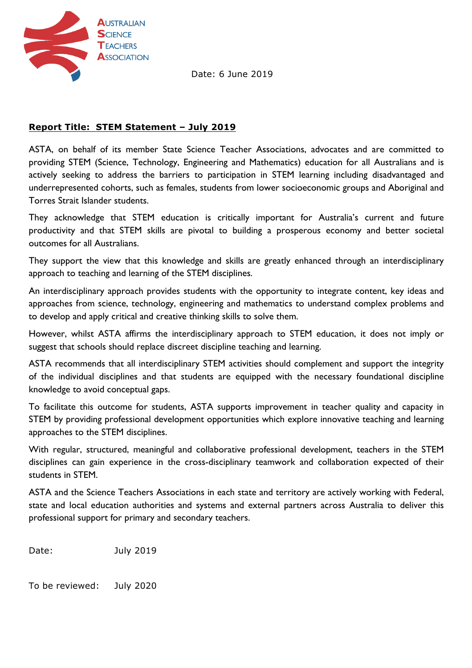

Date: 6 June 2019

## **Report Title: STEM Statement – July 2019**

ASTA, on behalf of its member State Science Teacher Associations, advocates and are committed to providing STEM (Science, Technology, Engineering and Mathematics) education for all Australians and is actively seeking to address the barriers to participation in STEM learning including disadvantaged and underrepresented cohorts, such as females, students from lower socioeconomic groups and Aboriginal and Torres Strait Islander students.

They acknowledge that STEM education is critically important for Australia's current and future productivity and that STEM skills are pivotal to building a prosperous economy and better societal outcomes for all Australians.

They support the view that this knowledge and skills are greatly enhanced through an interdisciplinary approach to teaching and learning of the STEM disciplines.

An interdisciplinary approach provides students with the opportunity to integrate content, key ideas and approaches from science, technology, engineering and mathematics to understand complex problems and to develop and apply critical and creative thinking skills to solve them.

However, whilst ASTA affirms the interdisciplinary approach to STEM education, it does not imply or suggest that schools should replace discreet discipline teaching and learning.

ASTA recommends that all interdisciplinary STEM activities should complement and support the integrity of the individual disciplines and that students are equipped with the necessary foundational discipline knowledge to avoid conceptual gaps.

To facilitate this outcome for students, ASTA supports improvement in teacher quality and capacity in STEM by providing professional development opportunities which explore innovative teaching and learning approaches to the STEM disciplines.

With regular, structured, meaningful and collaborative professional development, teachers in the STEM disciplines can gain experience in the cross-disciplinary teamwork and collaboration expected of their students in **STFM** 

ASTA and the Science Teachers Associations in each state and territory are actively working with Federal, state and local education authorities and systems and external partners across Australia to deliver this professional support for primary and secondary teachers.

Date: July 2019

To be reviewed: July 2020